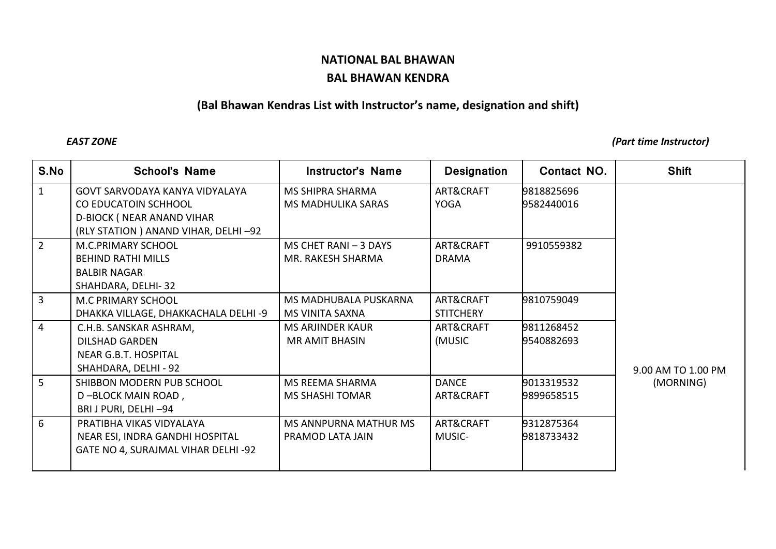## **NATIONAL BAL BHAWAN BAL BHAWAN KENDRA**

## **(Bal Bhawan Kendras List with Instructor's name, designation and shift)**

*EAST ZONE (Part time Instructor)*

| S.No           | <b>School's Name</b>                  | <b>Instructor's Name</b>  | <b>Designation</b> | Contact NO. | <b>Shift</b>       |
|----------------|---------------------------------------|---------------------------|--------------------|-------------|--------------------|
| $\mathbf{1}$   | <b>GOVT SARVODAYA KANYA VIDYALAYA</b> | <b>MS SHIPRA SHARMA</b>   | ART&CRAFT          | 9818825696  |                    |
|                | <b>CO EDUCATOIN SCHHOOL</b>           | <b>MS MADHULIKA SARAS</b> | <b>YOGA</b>        | 9582440016  |                    |
|                | <b>D-BIOCK ( NEAR ANAND VIHAR</b>     |                           |                    |             |                    |
|                | (RLY STATION) ANAND VIHAR, DELHI-92   |                           |                    |             |                    |
| $\overline{2}$ | M.C.PRIMARY SCHOOL                    | MS CHET RANI - 3 DAYS     | ART&CRAFT          | 9910559382  |                    |
|                | <b>BEHIND RATHI MILLS</b>             | MR. RAKESH SHARMA         | <b>DRAMA</b>       |             |                    |
|                | <b>BALBIR NAGAR</b>                   |                           |                    |             |                    |
|                | SHAHDARA, DELHI-32                    |                           |                    |             |                    |
| $\overline{3}$ | <b>M.C PRIMARY SCHOOL</b>             | MS MADHUBALA PUSKARNA     | ART&CRAFT          | 9810759049  |                    |
|                | DHAKKA VILLAGE, DHAKKACHALA DELHI -9  | <b>MS VINITA SAXNA</b>    | <b>STITCHERY</b>   |             |                    |
| $\overline{4}$ | C.H.B. SANSKAR ASHRAM,                | MS ARJINDER KAUR          | ART&CRAFT          | 9811268452  |                    |
|                | <b>DILSHAD GARDEN</b>                 | <b>MR AMIT BHASIN</b>     | (MUSIC             | 9540882693  |                    |
|                | NEAR G.B.T. HOSPITAL                  |                           |                    |             |                    |
|                | SHAHDARA, DELHI - 92                  |                           |                    |             | 9.00 AM TO 1.00 PM |
| 5 <sup>1</sup> | SHIBBON MODERN PUB SCHOOL             | MS REEMA SHARMA           | <b>DANCE</b>       | 9013319532  | (MORNING)          |
|                | D-BLOCK MAIN ROAD,                    | <b>MS SHASHI TOMAR</b>    | ART&CRAFT          | 9899658515  |                    |
|                | BRI J PURI, DELHI-94                  |                           |                    |             |                    |
| 6              | PRATIBHA VIKAS VIDYALAYA              | MS ANNPURNA MATHUR MS     | ART&CRAFT          | 9312875364  |                    |
|                | NEAR ESI, INDRA GANDHI HOSPITAL       | PRAMOD LATA JAIN          | MUSIC-             | 9818733432  |                    |
|                | GATE NO 4, SURAJMAL VIHAR DELHI -92   |                           |                    |             |                    |
|                |                                       |                           |                    |             |                    |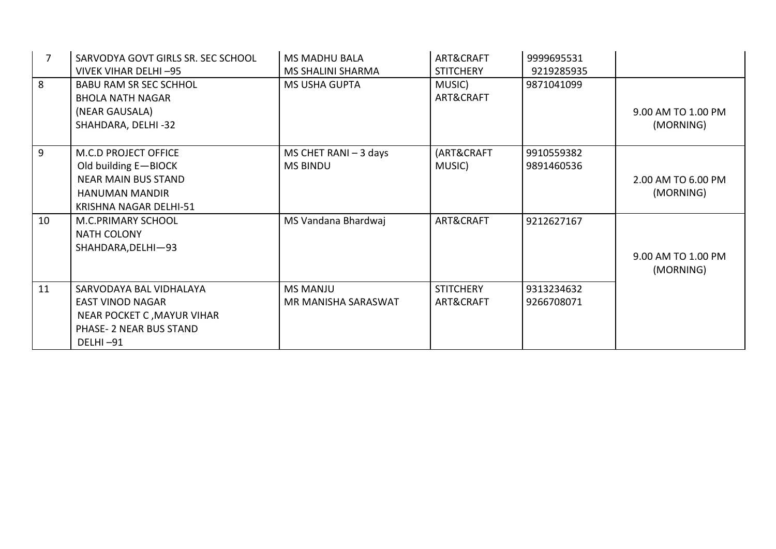| 7  | SARVODYA GOVT GIRLS SR. SEC SCHOOL<br>VIVEK VIHAR DELHI-95                                                                                  | <b>MS MADHU BALA</b><br><b>MS SHALINI SHARMA</b> | ART&CRAFT<br><b>STITCHERY</b> | 9999695531<br>9219285935 |                                 |
|----|---------------------------------------------------------------------------------------------------------------------------------------------|--------------------------------------------------|-------------------------------|--------------------------|---------------------------------|
| 8  | <b>BABU RAM SR SEC SCHHOL</b><br><b>BHOLA NATH NAGAR</b><br>(NEAR GAUSALA)<br>SHAHDARA, DELHI-32                                            | <b>MS USHA GUPTA</b>                             | MUSIC)<br>ART&CRAFT           | 9871041099               | 9.00 AM TO 1.00 PM<br>(MORNING) |
| 9  | <b>M.C.D PROJECT OFFICE</b><br>Old building E-BIOCK<br><b>NEAR MAIN BUS STAND</b><br><b>HANUMAN MANDIR</b><br><b>KRISHNA NAGAR DELHI-51</b> | MS CHET RANI $-$ 3 days<br><b>MS BINDU</b>       | (ART&CRAFT<br>MUSIC)          | 9910559382<br>9891460536 | 2.00 AM TO 6.00 PM<br>(MORNING) |
| 10 | M.C.PRIMARY SCHOOL<br><b>NATH COLONY</b><br>SHAHDARA, DELHI-93                                                                              | MS Vandana Bhardwaj                              | ART&CRAFT                     | 9212627167               | 9.00 AM TO 1.00 PM<br>(MORNING) |
| 11 | SARVODAYA BAL VIDHALAYA<br><b>EAST VINOD NAGAR</b><br>NEAR POCKET C, MAYUR VIHAR<br>PHASE- 2 NEAR BUS STAND<br>DELHI-91                     | <b>MS MANJU</b><br>MR MANISHA SARASWAT           | <b>STITCHERY</b><br>ART&CRAFT | 9313234632<br>9266708071 |                                 |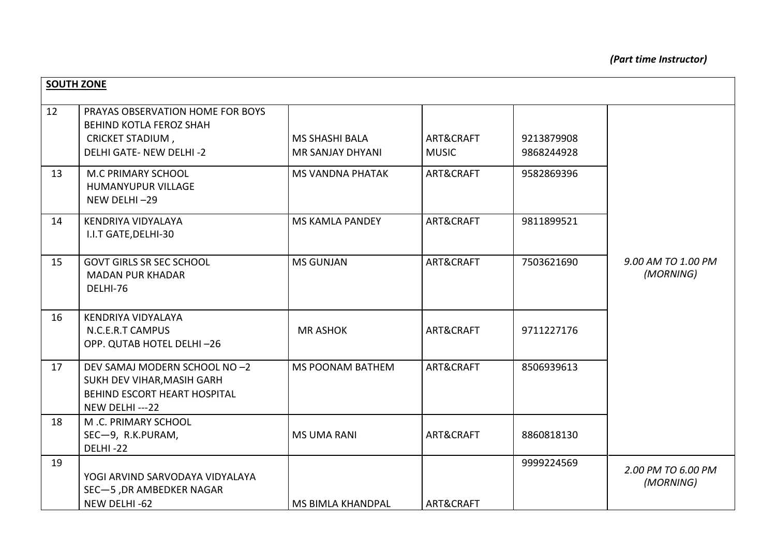| <b>SOUTH ZONE</b> |                                                                                                                          |                                                  |                           |                          |                                 |
|-------------------|--------------------------------------------------------------------------------------------------------------------------|--------------------------------------------------|---------------------------|--------------------------|---------------------------------|
| 12                | PRAYAS OBSERVATION HOME FOR BOYS<br>BEHIND KOTLA FEROZ SHAH<br><b>CRICKET STADIUM,</b><br><b>DELHI GATE- NEW DELHI-2</b> | <b>MS SHASHI BALA</b><br><b>MR SANJAY DHYANI</b> | ART&CRAFT<br><b>MUSIC</b> | 9213879908<br>9868244928 |                                 |
| 13                | M.C PRIMARY SCHOOL<br>HUMANYUPUR VILLAGE<br>NEW DELHI-29                                                                 | <b>MS VANDNA PHATAK</b>                          | ART&CRAFT                 | 9582869396               |                                 |
| 14                | KENDRIYA VIDYALAYA<br>I.I.T GATE, DELHI-30                                                                               | <b>MS KAMLA PANDEY</b>                           | ART&CRAFT                 | 9811899521               |                                 |
| 15                | <b>GOVT GIRLS SR SEC SCHOOL</b><br><b>MADAN PUR KHADAR</b><br>DELHI-76                                                   | <b>MS GUNJAN</b>                                 | ART&CRAFT                 | 7503621690               | 9.00 AM TO 1.00 PM<br>(MORNING) |
| 16                | KENDRIYA VIDYALAYA<br>N.C.E.R.T CAMPUS<br>OPP. QUTAB HOTEL DELHI-26                                                      | <b>MR ASHOK</b>                                  | ART&CRAFT                 | 9711227176               |                                 |
| 17                | DEV SAMAJ MODERN SCHOOL NO -2<br>SUKH DEV VIHAR, MASIH GARH<br>BEHIND ESCORT HEART HOSPITAL<br>NEW DELHI---22            | <b>MS POONAM BATHEM</b>                          | ART&CRAFT                 | 8506939613               |                                 |
| 18                | M.C. PRIMARY SCHOOL<br>SEC-9, R.K.PURAM,<br>DELHI-22                                                                     | <b>MS UMA RANI</b>                               | ART&CRAFT                 | 8860818130               |                                 |
| 19                | YOGI ARVIND SARVODAYA VIDYALAYA<br>SEC-5, DR AMBEDKER NAGAR                                                              |                                                  |                           | 9999224569               | 2.00 PM TO 6.00 PM<br>(MORNING) |
|                   | NEW DELHI-62                                                                                                             | <b>MS BIMLA KHANDPAL</b>                         | ART&CRAFT                 |                          |                                 |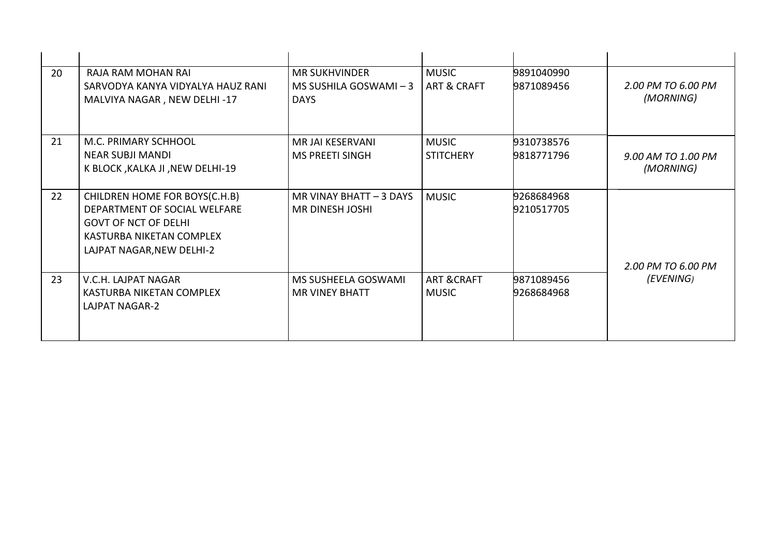| 20 | RAJA RAM MOHAN RAI                | <b>MR SUKHVINDER</b>    | <b>MUSIC</b>           | 9891040990 |                                 |
|----|-----------------------------------|-------------------------|------------------------|------------|---------------------------------|
|    | SARVODYA KANYA VIDYALYA HAUZ RANI | MS SUSHILA GOSWAMI $-3$ | <b>ART &amp; CRAFT</b> | 9871089456 | 2.00 PM TO 6.00 PM              |
|    | MALVIYA NAGAR, NEW DELHI-17       | <b>DAYS</b>             |                        |            | (MORNING)                       |
|    |                                   |                         |                        |            |                                 |
|    |                                   |                         |                        |            |                                 |
| 21 | M.C. PRIMARY SCHHOOL              | MR JAI KESERVANI        | <b>MUSIC</b>           | 9310738576 |                                 |
|    | <b>NEAR SUBJI MANDI</b>           | <b>MS PREETI SINGH</b>  | <b>STITCHERY</b>       | 9818771796 | 9.00 AM TO 1.00 PM              |
|    | K BLOCK , KALKA JI , NEW DELHI-19 |                         |                        |            | (MORNING)                       |
|    |                                   |                         |                        |            |                                 |
| 22 | CHILDREN HOME FOR BOYS(C.H.B)     | MR VINAY BHATT - 3 DAYS | <b>MUSIC</b>           | 9268684968 |                                 |
|    | DEPARTMENT OF SOCIAL WELFARE      | <b>MR DINESH JOSHI</b>  |                        | 9210517705 |                                 |
|    | <b>GOVT OF NCT OF DELHI</b>       |                         |                        |            |                                 |
|    | KASTURBA NIKETAN COMPLEX          |                         |                        |            |                                 |
|    | LAJPAT NAGAR, NEW DELHI-2         |                         |                        |            |                                 |
|    |                                   |                         |                        |            |                                 |
| 23 | V.C.H. LAJPAT NAGAR               | MS SUSHEELA GOSWAMI     | <b>ART &amp; CRAFT</b> | 9871089456 | 2.00 PM TO 6.00 PM<br>(EVENING) |
|    |                                   |                         |                        |            |                                 |
|    | KASTURBA NIKETAN COMPLEX          | <b>MR VINEY BHATT</b>   | <b>MUSIC</b>           | 9268684968 |                                 |
|    | LAJPAT NAGAR-2                    |                         |                        |            |                                 |
|    |                                   |                         |                        |            |                                 |
|    |                                   |                         |                        |            |                                 |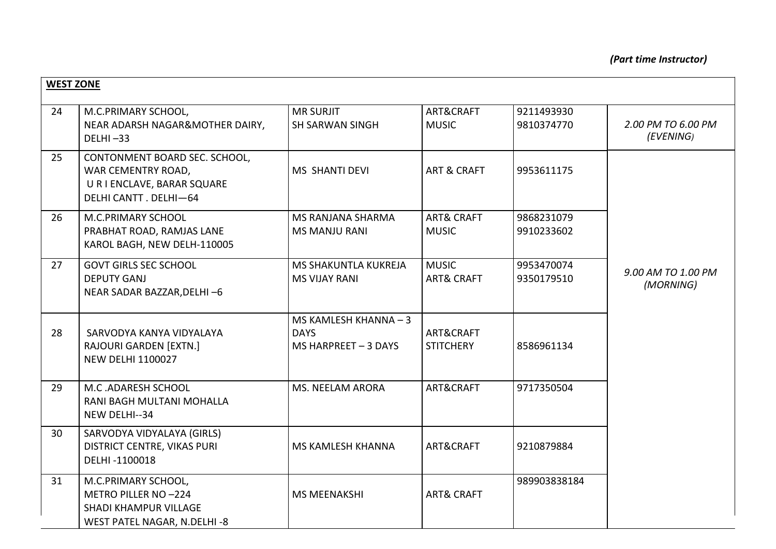| <b>WEST ZONE</b> |                                                                                                             |                                                              |                                       |                          |                                 |
|------------------|-------------------------------------------------------------------------------------------------------------|--------------------------------------------------------------|---------------------------------------|--------------------------|---------------------------------|
| 24               | M.C.PRIMARY SCHOOL,<br>NEAR ADARSH NAGAR&MOTHER DAIRY,<br>$DELHI - 33$                                      | <b>MR SURJIT</b><br><b>SH SARWAN SINGH</b>                   | ART&CRAFT<br><b>MUSIC</b>             | 9211493930<br>9810374770 | 2.00 PM TO 6.00 PM<br>(EVENING) |
| 25               | CONTONMENT BOARD SEC. SCHOOL,<br>WAR CEMENTRY ROAD,<br>U R I ENCLAVE, BARAR SQUARE<br>DELHI CANTT. DELHI-64 | MS SHANTI DEVI                                               | ART & CRAFT                           | 9953611175               |                                 |
| 26               | M.C.PRIMARY SCHOOL<br>PRABHAT ROAD, RAMJAS LANE<br>KAROL BAGH, NEW DELH-110005                              | <b>MS RANJANA SHARMA</b><br><b>MS MANJU RANI</b>             | <b>ART&amp; CRAFT</b><br><b>MUSIC</b> | 9868231079<br>9910233602 |                                 |
| 27               | <b>GOVT GIRLS SEC SCHOOL</b><br><b>DEPUTY GANJ</b><br>NEAR SADAR BAZZAR, DELHI-6                            | MS SHAKUNTLA KUKREJA<br><b>MS VIJAY RANI</b>                 | <b>MUSIC</b><br><b>ART&amp; CRAFT</b> | 9953470074<br>9350179510 | 9.00 AM TO 1.00 PM<br>(MORNING) |
| 28               | SARVODYA KANYA VIDYALAYA<br>RAJOURI GARDEN [EXTN.]<br><b>NEW DELHI 1100027</b>                              | MS KAMLESH KHANNA - 3<br><b>DAYS</b><br>MS HARPREET - 3 DAYS | ART&CRAFT<br><b>STITCHERY</b>         | 8586961134               |                                 |
| 29               | M.C.ADARESH SCHOOL<br>RANI BAGH MULTANI MOHALLA<br>NEW DELHI--34                                            | <b>MS. NEELAM ARORA</b>                                      | ART&CRAFT                             | 9717350504               |                                 |
| 30               | SARVODYA VIDYALAYA (GIRLS)<br>DISTRICT CENTRE, VIKAS PURI<br>DELHI-1100018                                  | MS KAMLESH KHANNA                                            | ART&CRAFT                             | 9210879884               |                                 |
| 31               | M.C.PRIMARY SCHOOL,<br>METRO PILLER NO -224<br>SHADI KHAMPUR VILLAGE<br>WEST PATEL NAGAR, N.DELHI-8         | <b>MS MEENAKSHI</b>                                          | <b>ART&amp; CRAFT</b>                 | 989903838184             |                                 |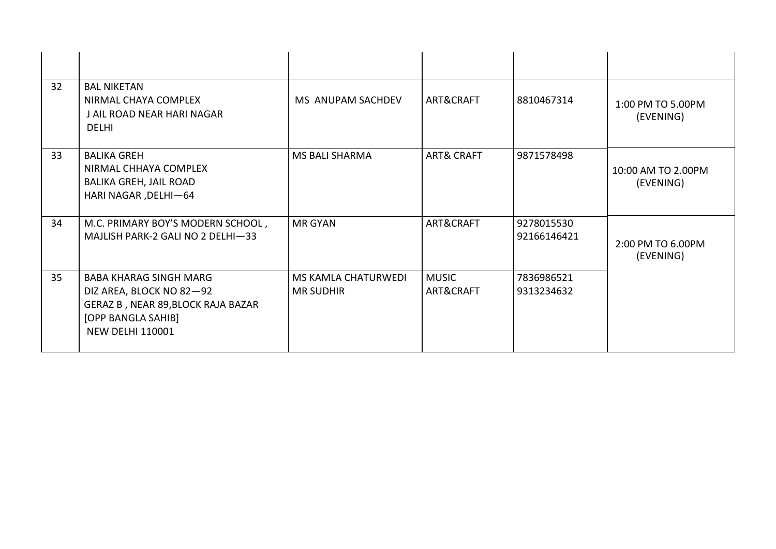| 32 | <b>BAL NIKETAN</b><br>NIRMAL CHAYA COMPLEX<br>J AIL ROAD NEAR HARI NAGAR<br><b>DELHI</b>                                                  | MS ANUPAM SACHDEV                              | ART&CRAFT                 | 8810467314                | 1:00 PM TO 5.00PM<br>(EVENING)  |
|----|-------------------------------------------------------------------------------------------------------------------------------------------|------------------------------------------------|---------------------------|---------------------------|---------------------------------|
| 33 | <b>BALIKA GREH</b><br>NIRMAL CHHAYA COMPLEX<br><b>BALIKA GREH, JAIL ROAD</b><br>HARI NAGAR, DELHI-64                                      | <b>MS BALI SHARMA</b>                          | <b>ART&amp; CRAFT</b>     | 9871578498                | 10:00 AM TO 2.00PM<br>(EVENING) |
| 34 | M.C. PRIMARY BOY'S MODERN SCHOOL,<br>MAJLISH PARK-2 GALI NO 2 DELHI-33                                                                    | <b>MR GYAN</b>                                 | ART&CRAFT                 | 9278015530<br>92166146421 | 2:00 PM TO 6.00PM<br>(EVENING)  |
| 35 | BABA KHARAG SINGH MARG<br>DIZ AREA, BLOCK NO 82-92<br>GERAZ B, NEAR 89, BLOCK RAJA BAZAR<br>[OPP BANGLA SAHIB]<br><b>NEW DELHI 110001</b> | <b>MS KAMLA CHATURWEDI</b><br><b>MR SUDHIR</b> | <b>MUSIC</b><br>ART&CRAFT | 7836986521<br>9313234632  |                                 |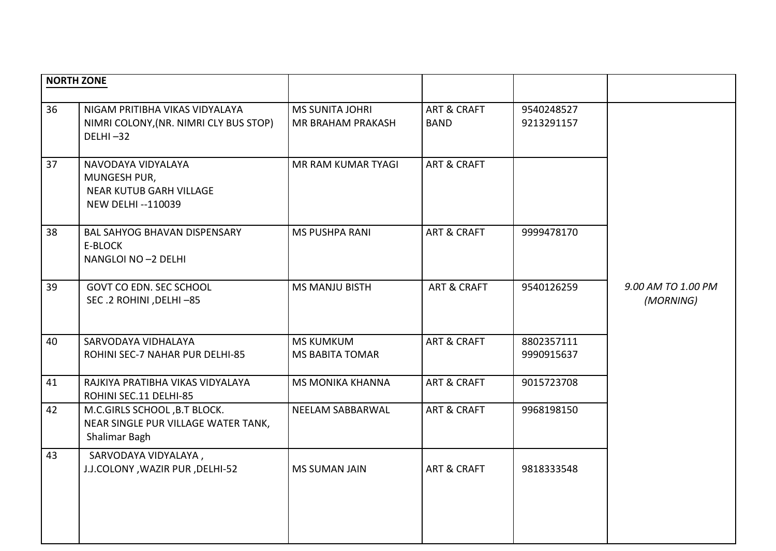| <b>NORTH ZONE</b> |                                                                                                   |                                             |                                       |                          |                                 |
|-------------------|---------------------------------------------------------------------------------------------------|---------------------------------------------|---------------------------------------|--------------------------|---------------------------------|
|                   |                                                                                                   |                                             |                                       |                          |                                 |
| 36                | NIGAM PRITIBHA VIKAS VIDYALAYA<br>NIMRI COLONY, (NR. NIMRI CLY BUS STOP)<br>$DELHI - 32$          | <b>MS SUNITA JOHRI</b><br>MR BRAHAM PRAKASH | <b>ART &amp; CRAFT</b><br><b>BAND</b> | 9540248527<br>9213291157 |                                 |
| 37                | NAVODAYA VIDYALAYA<br>MUNGESH PUR,<br><b>NEAR KUTUB GARH VILLAGE</b><br><b>NEW DELHI --110039</b> | MR RAM KUMAR TYAGI                          | ART & CRAFT                           |                          |                                 |
| 38                | <b>BAL SAHYOG BHAVAN DISPENSARY</b><br>E-BLOCK<br>NANGLOI NO -2 DELHI                             | <b>MS PUSHPA RANI</b>                       | <b>ART &amp; CRAFT</b>                | 9999478170               |                                 |
| 39                | GOVT CO EDN. SEC SCHOOL<br>SEC.2 ROHINI, DELHI-85                                                 | <b>MS MANJU BISTH</b>                       | <b>ART &amp; CRAFT</b>                | 9540126259               | 9.00 AM TO 1.00 PM<br>(MORNING) |
| 40                | SARVODAYA VIDHALAYA<br>ROHINI SEC-7 NAHAR PUR DELHI-85                                            | <b>MS KUMKUM</b><br><b>MS BABITA TOMAR</b>  | <b>ART &amp; CRAFT</b>                | 8802357111<br>9990915637 |                                 |
| 41                | RAJKIYA PRATIBHA VIKAS VIDYALAYA<br>ROHINI SEC.11 DELHI-85                                        | <b>MS MONIKA KHANNA</b>                     | <b>ART &amp; CRAFT</b>                | 9015723708               |                                 |
| 42                | M.C.GIRLS SCHOOL, B.T BLOCK.<br>NEAR SINGLE PUR VILLAGE WATER TANK,<br>Shalimar Bagh              | NEELAM SABBARWAL                            | <b>ART &amp; CRAFT</b>                | 9968198150               |                                 |
| 43                | SARVODAYA VIDYALAYA,<br>J.J.COLONY, WAZIR PUR, DELHI-52                                           | <b>MS SUMAN JAIN</b>                        | ART & CRAFT                           | 9818333548               |                                 |